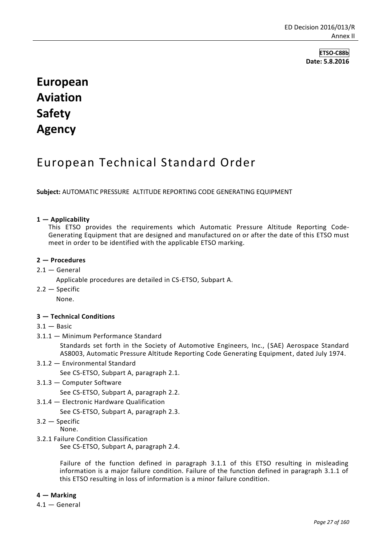**ETSO-C88b Date: 5.8.2016**

# **European Aviation Safety Agency**

## European Technical Standard Order

**Subject:** AUTOMATIC PRESSURE ALTITUDE REPORTING CODE GENERATING EQUIPMENT

#### **1 — Applicability**

This ETSO provides the requirements which Automatic Pressure Altitude Reporting Code-Generating Equipment that are designed and manufactured on or after the date of this ETSO must meet in order to be identified with the applicable ETSO marking.

#### **2 — Procedures**

- $2.1 -$  General
	- Applicable procedures are detailed in CS-ETSO, Subpart A.
- $2.2 -$ Specific

None.

#### **3 — Technical Conditions**

- $3.1 -$ Basic
- 3.1.1 Minimum Performance Standard

Standards set forth in the Society of Automotive Engineers, Inc., (SAE) Aerospace Standard AS8003, Automatic Pressure Altitude Reporting Code Generating Equipment, dated July 1974.

3.1.2 — Environmental Standard

See CS-ETSO, Subpart A, paragraph 2.1.

3.1.3 — Computer Software

See CS-ETSO, Subpart A, paragraph 2.2.

3.1.4 — Electronic Hardware Qualification

See CS-ETSO, Subpart A, paragraph 2.3.

3.2 — Specific

None.

3.2.1 Failure Condition Classification

See CS-ETSO, Subpart A, paragraph 2.4.

Failure of the function defined in paragraph 3.1.1 of this ETSO resulting in misleading information is a major failure condition. Failure of the function defined in paragraph 3.1.1 of this ETSO resulting in loss of information is a minor failure condition.

**4 — Marking**

4.1 — General